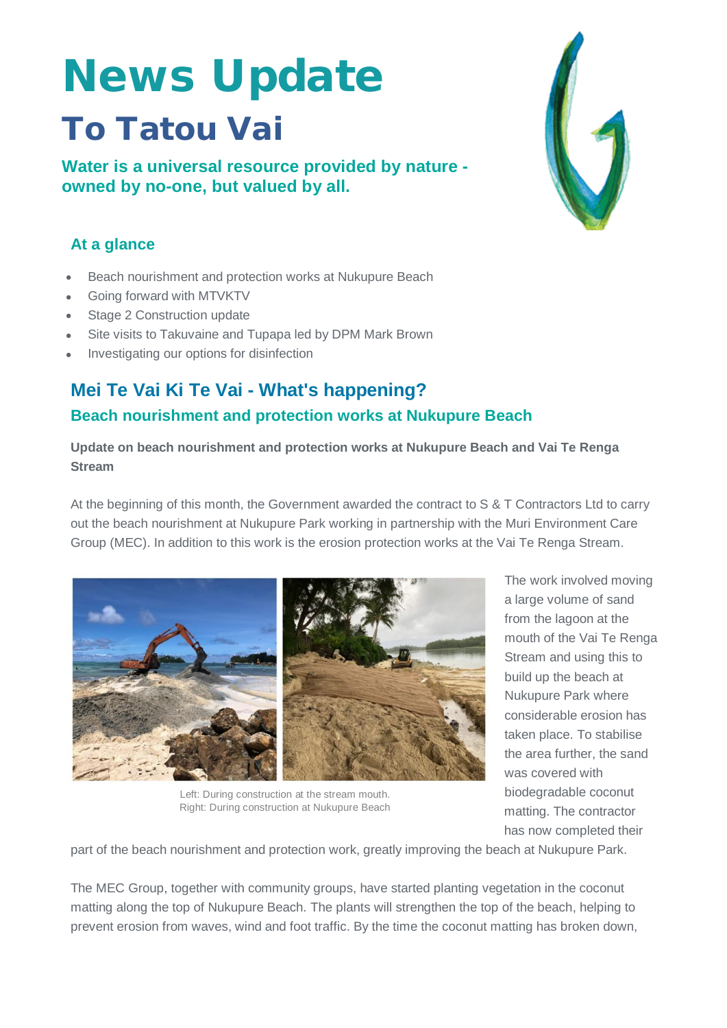# News Update To Tatou Vai

**Water is a universal resource provided by nature owned by no-one, but valued by all.**

## **At a glance**

- Beach nourishment and protection works at Nukupure Beach
- Going forward with MTVKTV
- Stage 2 Construction update
- Site visits to Takuvaine and Tupapa led by DPM Mark Brown
- Investigating our options for disinfection

## **Mei Te Vai Ki Te Vai - What's happening? Beach nourishment and protection works at Nukupure Beach**

**Update on beach nourishment and protection works at Nukupure Beach and Vai Te Renga Stream**

At the beginning of this month, the Government awarded the contract to S & T Contractors Ltd to carry out the beach nourishment at Nukupure Park working in partnership with the Muri Environment Care Group (MEC). In addition to this work is the erosion protection works at the Vai Te Renga Stream.



Left: During construction at the stream mouth. Right: During construction at Nukupure Beach

The work involved moving a large volume of sand from the lagoon at the mouth of the Vai Te Renga Stream and using this to build up the beach at Nukupure Park where considerable erosion has taken place. To stabilise the area further, the sand was covered with biodegradable coconut matting. The contractor has now completed their

part of the beach nourishment and protection work, greatly improving the beach at Nukupure Park.

The MEC Group, together with community groups, have started planting vegetation in the coconut matting along the top of Nukupure Beach. The plants will strengthen the top of the beach, helping to prevent erosion from waves, wind and foot traffic. By the time the coconut matting has broken down,

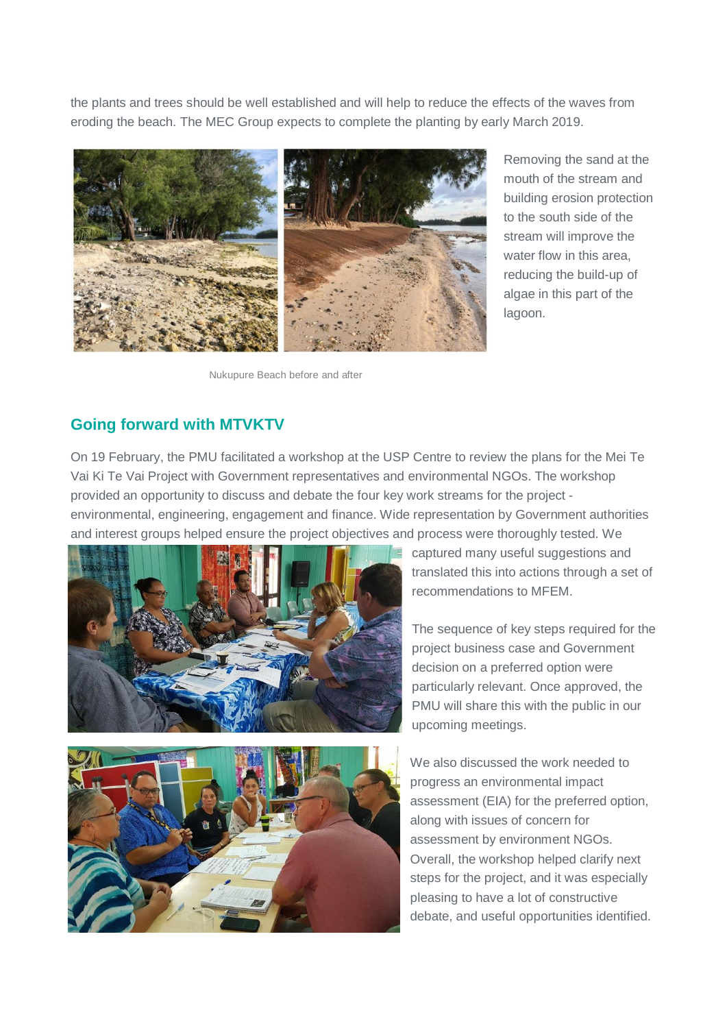the plants and trees should be well established and will help to reduce the effects of the waves from eroding the beach. The MEC Group expects to complete the planting by early March 2019.



Nukupure Beach before and after

Removing the sand at the mouth of the stream and building erosion protection to the south side of the stream will improve the water flow in this area, reducing the build-up of algae in this part of the lagoon.

#### **Going forward with MTVKTV**

On 19 February, the PMU facilitated a workshop at the USP Centre to review the plans for the Mei Te Vai Ki Te Vai Project with Government representatives and environmental NGOs. The workshop provided an opportunity to discuss and debate the four key work streams for the project environmental, engineering, engagement and finance. Wide representation by Government authorities and interest groups helped ensure the project objectives and process were thoroughly tested. We





captured many useful suggestions and translated this into actions through a set of recommendations to MFEM.

The sequence of key steps required for the project business case and Government decision on a preferred option were particularly relevant. Once approved, the PMU will share this with the public in our upcoming meetings.

We also discussed the work needed to progress an environmental impact assessment (EIA) for the preferred option, along with issues of concern for assessment by environment NGOs. Overall, the workshop helped clarify next steps for the project, and it was especially pleasing to have a lot of constructive debate, and useful opportunities identified.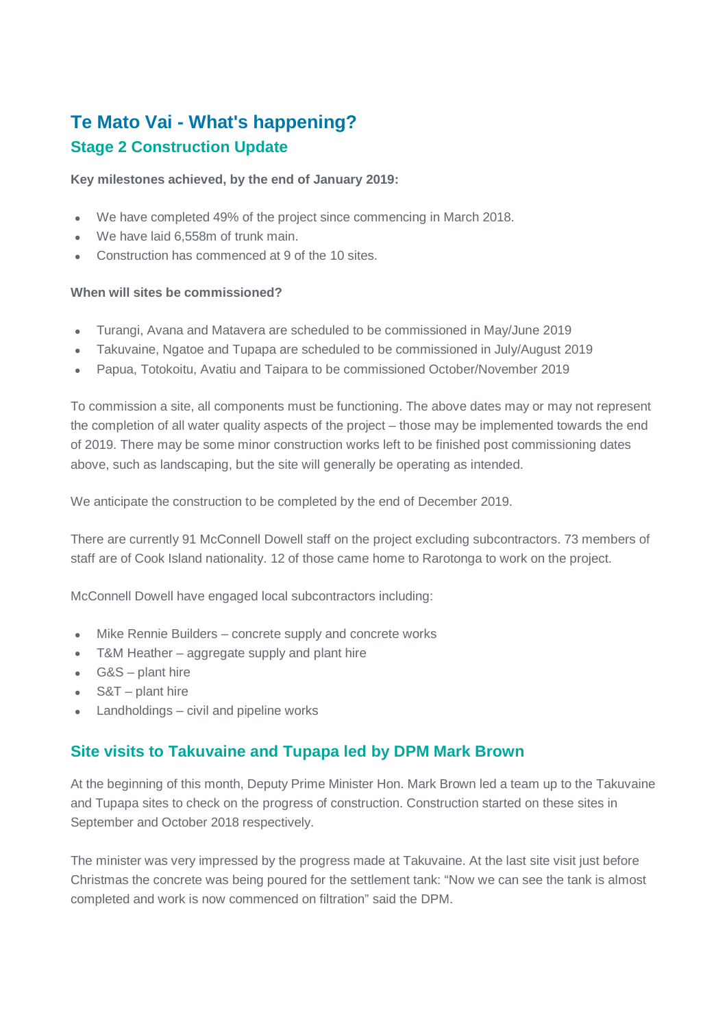# **Te Mato Vai - What's happening? Stage 2 Construction Update**

**Key milestones achieved, by the end of January 2019:**

- We have completed 49% of the project since commencing in March 2018.
- We have laid 6,558m of trunk main.
- Construction has commenced at 9 of the 10 sites.

#### **When will sites be commissioned?**

- Turangi, Avana and Matavera are scheduled to be commissioned in May/June 2019
- Takuvaine, Ngatoe and Tupapa are scheduled to be commissioned in July/August 2019
- Papua, Totokoitu, Avatiu and Taipara to be commissioned October/November 2019

To commission a site, all components must be functioning. The above dates may or may not represent the completion of all water quality aspects of the project – those may be implemented towards the end of 2019. There may be some minor construction works left to be finished post commissioning dates above, such as landscaping, but the site will generally be operating as intended.

We anticipate the construction to be completed by the end of December 2019.

There are currently 91 McConnell Dowell staff on the project excluding subcontractors. 73 members of staff are of Cook Island nationality. 12 of those came home to Rarotonga to work on the project.

McConnell Dowell have engaged local subcontractors including:

- Mike Rennie Builders concrete supply and concrete works
- T&M Heather aggregate supply and plant hire
- G&S plant hire
- S&T plant hire
- Landholdings civil and pipeline works

## **Site visits to Takuvaine and Tupapa led by DPM Mark Brown**

At the beginning of this month, Deputy Prime Minister Hon. Mark Brown led a team up to the Takuvaine and Tupapa sites to check on the progress of construction. Construction started on these sites in September and October 2018 respectively.

The minister was very impressed by the progress made at Takuvaine. At the last site visit just before Christmas the concrete was being poured for the settlement tank: "Now we can see the tank is almost completed and work is now commenced on filtration" said the DPM.